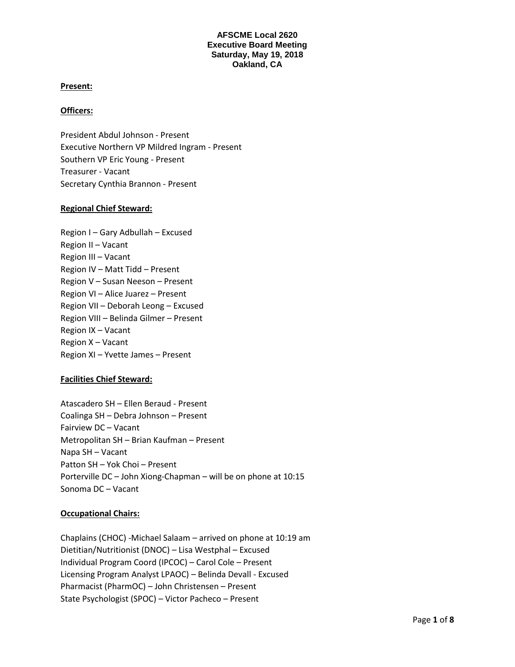### **Present:**

### **Officers:**

President Abdul Johnson - Present Executive Northern VP Mildred Ingram - Present Southern VP Eric Young - Present Treasurer - Vacant Secretary Cynthia Brannon - Present

#### **Regional Chief Steward:**

Region I – Gary Adbullah – Excused Region II – Vacant Region III – Vacant Region IV – Matt Tidd – Present Region V – Susan Neeson – Present Region VI – Alice Juarez – Present Region VII – Deborah Leong – Excused Region VIII – Belinda Gilmer – Present Region IX – Vacant Region X – Vacant Region XI – Yvette James – Present

## **Facilities Chief Steward:**

Atascadero SH – Ellen Beraud - Present Coalinga SH – Debra Johnson – Present Fairview DC – Vacant Metropolitan SH – Brian Kaufman – Present Napa SH – Vacant Patton SH – Yok Choi – Present Porterville DC – John Xiong-Chapman – will be on phone at 10:15 Sonoma DC – Vacant

#### **Occupational Chairs:**

Chaplains (CHOC) -Michael Salaam – arrived on phone at 10:19 am Dietitian/Nutritionist (DNOC) – Lisa Westphal – Excused Individual Program Coord (IPCOC) – Carol Cole – Present Licensing Program Analyst LPAOC) – Belinda Devall - Excused Pharmacist (PharmOC) – John Christensen – Present State Psychologist (SPOC) – Victor Pacheco – Present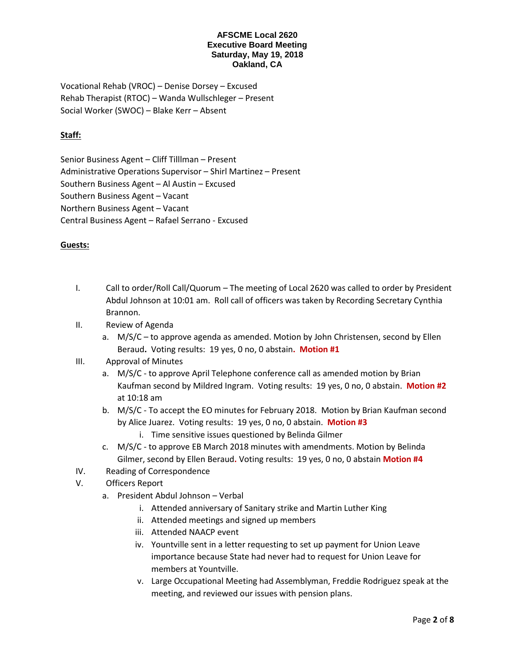Vocational Rehab (VROC) – Denise Dorsey – Excused Rehab Therapist (RTOC) – Wanda Wullschleger – Present Social Worker (SWOC) – Blake Kerr – Absent

# **Staff:**

Senior Business Agent – Cliff Tilllman – Present Administrative Operations Supervisor – Shirl Martinez – Present Southern Business Agent – Al Austin – Excused Southern Business Agent – Vacant Northern Business Agent – Vacant Central Business Agent – Rafael Serrano - Excused

## **Guests:**

- I. Call to order/Roll Call/Quorum The meeting of Local 2620 was called to order by President Abdul Johnson at 10:01 am. Roll call of officers was taken by Recording Secretary Cynthia Brannon.
- II. Review of Agenda
	- a. M/S/C to approve agenda as amended. Motion by John Christensen, second by Ellen Beraud**.** Voting results: 19 yes, 0 no, 0 abstain**. Motion #1**

# III. Approval of Minutes

- a. M/S/C to approve April Telephone conference call as amended motion by Brian Kaufman second by Mildred Ingram. Voting results: 19 yes, 0 no, 0 abstain. **Motion #2** at 10:18 am
- b. M/S/C To accept the EO minutes for February 2018. Motion by Brian Kaufman second by Alice Juarez. Voting results: 19 yes, 0 no, 0 abstain. **Motion #3**
	- i. Time sensitive issues questioned by Belinda Gilmer
- c. M/S/C to approve EB March 2018 minutes with amendments. Motion by Belinda Gilmer, second by Ellen Beraud**.** Voting results: 19 yes, 0 no, 0 abstain **Motion #4**
- IV. Reading of Correspondence
- V. Officers Report
	- a. President Abdul Johnson Verbal
		- i. Attended anniversary of Sanitary strike and Martin Luther King
		- ii. Attended meetings and signed up members
		- iii. Attended NAACP event
		- iv. Yountville sent in a letter requesting to set up payment for Union Leave importance because State had never had to request for Union Leave for members at Yountville.
		- v. Large Occupational Meeting had Assemblyman, Freddie Rodriguez speak at the meeting, and reviewed our issues with pension plans.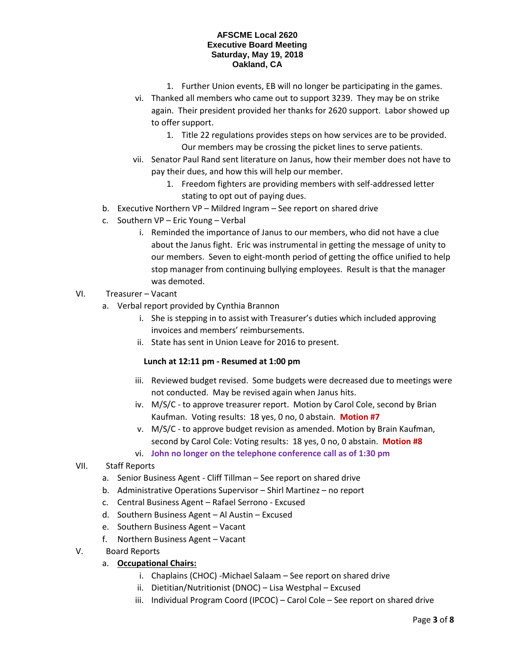- 1. Further Union events, EB will no longer be participating in the games.
- vi. Thanked all members who came out to support 3239. They may be on strike again. Their president provided her thanks for 2620 support. Labor showed up to offer support.
	- 1. Title 22 regulations provides steps on how services are to be provided. Our members may be crossing the picket lines to serve patients.
- vii. Senator Paul Rand sent literature on Janus, how their member does not have to pay their dues, and how this will help our member.
	- 1. Freedom fighters are providing members with self-addressed letter stating to opt out of paying dues.
- b. Executive Northern VP Mildred Ingram See report on shared drive
- c. Southern VP Eric Young Verbal
	- i. Reminded the importance of Janus to our members, who did not have a clue about the Janus fight. Eric was instrumental in getting the message of unity to our members. Seven to eight-month period of getting the office unified to help stop manager from continuing bullying employees. Result is that the manager was demoted.

## VI. Treasurer – Vacant

- a. Verbal report provided by Cynthia Brannon
	- i. She is stepping in to assist with Treasurer's duties which included approving invoices and members' reimbursements.
	- ii. State has sent in Union Leave for 2016 to present.

## **Lunch at 12:11 pm - Resumed at 1:00 pm**

- iii. Reviewed budget revised. Some budgets were decreased due to meetings were not conducted. May be revised again when Janus hits.
- iv. M/S/C to approve treasurer report. Motion by Carol Cole, second by Brian Kaufman. Voting results: 18 yes, 0 no, 0 abstain. **Motion #7**
- v. M/S/C to approve budget revision as amended. Motion by Brain Kaufman, second by Carol Cole: Voting results: 18 yes, 0 no, 0 abstain. **Motion #8**
- vi. **John no longer on the telephone conference call as of 1:30 pm**

## VII. Staff Reports

- a. Senior Business Agent Cliff Tillman See report on shared drive
- b. Administrative Operations Supervisor Shirl Martinez no report
- c. Central Business Agent Rafael Serrono Excused
- d. Southern Business Agent Al Austin Excused
- e. Southern Business Agent Vacant
- f. Northern Business Agent Vacant
- V. Board Reports
	- a. **Occupational Chairs:**
		- i. Chaplains (CHOC) -Michael Salaam See report on shared drive
		- ii. Dietitian/Nutritionist (DNOC) Lisa Westphal Excused
		- iii. Individual Program Coord (IPCOC) Carol Cole See report on shared drive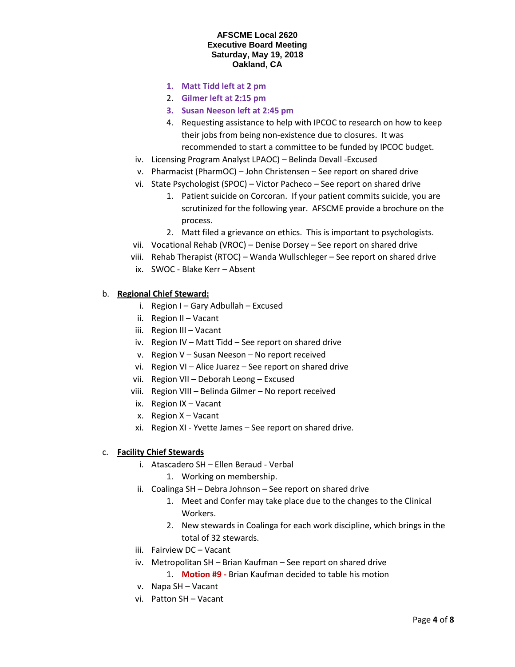- **1. Matt Tidd left at 2 pm**
- 2. **Gilmer left at 2:15 pm**
- **3. Susan Neeson left at 2:45 pm**
- 4. Requesting assistance to help with IPCOC to research on how to keep their jobs from being non-existence due to closures. It was recommended to start a committee to be funded by IPCOC budget.
- iv. Licensing Program Analyst LPAOC) Belinda Devall -Excused
- v. Pharmacist (PharmOC) John Christensen See report on shared drive
- vi. State Psychologist (SPOC) Victor Pacheco See report on shared drive
	- 1. Patient suicide on Corcoran. If your patient commits suicide, you are scrutinized for the following year. AFSCME provide a brochure on the process.
	- 2. Matt filed a grievance on ethics. This is important to psychologists.
- vii. Vocational Rehab (VROC) Denise Dorsey See report on shared drive
- viii. Rehab Therapist (RTOC) Wanda Wullschleger See report on shared drive
- ix. SWOC Blake Kerr Absent

## b. **Regional Chief Steward:**

- i. Region I Gary Adbullah Excused
- ii. Region II Vacant
- iii. Region III Vacant
- iv. Region IV Matt Tidd See report on shared drive
- v. Region V Susan Neeson No report received
- vi. Region VI Alice Juarez See report on shared drive
- vii. Region VII Deborah Leong Excused
- viii. Region VIII Belinda Gilmer No report received
- ix. Region IX Vacant
- x. Region X Vacant
- xi. Region XI Yvette James See report on shared drive.

#### c. **Facility Chief Stewards**

- i. Atascadero SH Ellen Beraud Verbal
	- 1. Working on membership.
- ii. Coalinga SH Debra Johnson See report on shared drive
	- 1. Meet and Confer may take place due to the changes to the Clinical Workers.
	- 2. New stewards in Coalinga for each work discipline, which brings in the total of 32 stewards.
- iii. Fairview DC Vacant
- iv. Metropolitan SH Brian Kaufman See report on shared drive
	- 1. **Motion #9 -** Brian Kaufman decided to table his motion
- v. Napa SH Vacant
- vi. Patton SH Vacant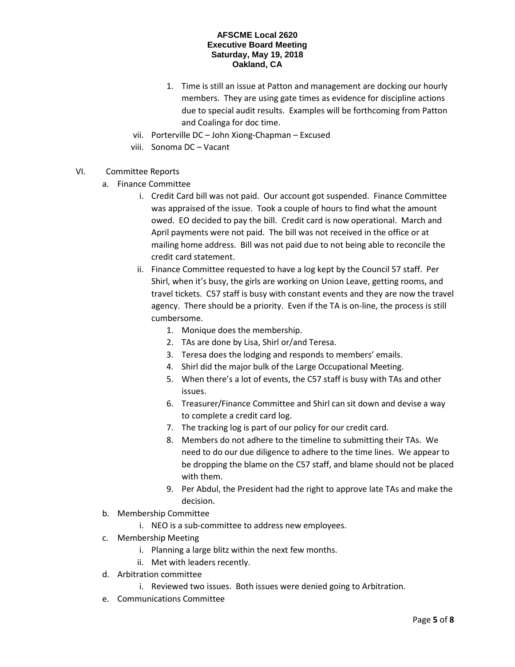- 1. Time is still an issue at Patton and management are docking our hourly members. They are using gate times as evidence for discipline actions due to special audit results. Examples will be forthcoming from Patton and Coalinga for doc time.
- vii. Porterville DC John Xiong-Chapman Excused
- viii. Sonoma DC Vacant
- VI. Committee Reports
	- a. Finance Committee
		- i. Credit Card bill was not paid. Our account got suspended. Finance Committee was appraised of the issue. Took a couple of hours to find what the amount owed. EO decided to pay the bill. Credit card is now operational. March and April payments were not paid. The bill was not received in the office or at mailing home address. Bill was not paid due to not being able to reconcile the credit card statement.
		- ii. Finance Committee requested to have a log kept by the Council 57 staff. Per Shirl, when it's busy, the girls are working on Union Leave, getting rooms, and travel tickets. C57 staff is busy with constant events and they are now the travel agency. There should be a priority. Even if the TA is on-line, the process is still cumbersome.
			- 1. Monique does the membership.
			- 2. TAs are done by Lisa, Shirl or/and Teresa.
			- 3. Teresa does the lodging and responds to members' emails.
			- 4. Shirl did the major bulk of the Large Occupational Meeting.
			- 5. When there's a lot of events, the C57 staff is busy with TAs and other issues.
			- 6. Treasurer/Finance Committee and Shirl can sit down and devise a way to complete a credit card log.
			- 7. The tracking log is part of our policy for our credit card.
			- 8. Members do not adhere to the timeline to submitting their TAs. We need to do our due diligence to adhere to the time lines. We appear to be dropping the blame on the C57 staff, and blame should not be placed with them.
			- 9. Per Abdul, the President had the right to approve late TAs and make the decision.
	- b. Membership Committee
		- i. NEO is a sub-committee to address new employees.
	- c. Membership Meeting
		- i. Planning a large blitz within the next few months.
		- ii. Met with leaders recently.
	- d. Arbitration committee
		- i. Reviewed two issues. Both issues were denied going to Arbitration.
	- e. Communications Committee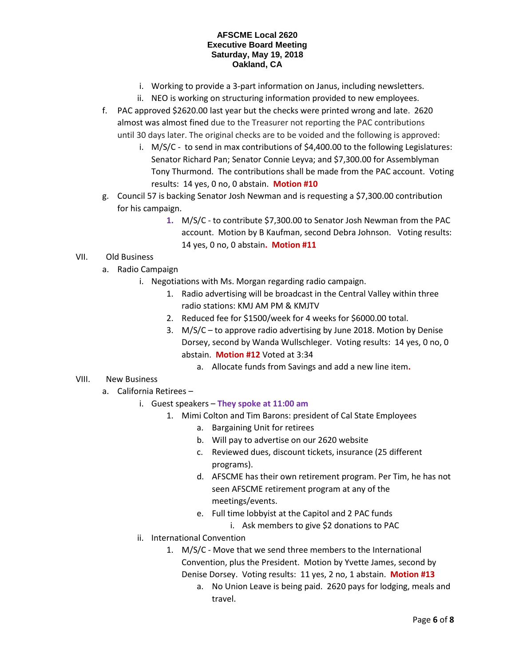- i. Working to provide a 3-part information on Janus, including newsletters.
- ii. NEO is working on structuring information provided to new employees.
- f. PAC approved \$2620.00 last year but the checks were printed wrong and late. 2620 almost was almost fined due to the Treasurer not reporting the PAC contributions until 30 days later. The original checks are to be voided and the following is approved:
	- i. M/S/C to send in max contributions of \$4,400.00 to the following Legislatures: Senator Richard Pan; Senator Connie Leyva; and \$7,300.00 for Assemblyman Tony Thurmond. The contributions shall be made from the PAC account. Voting results: 14 yes, 0 no, 0 abstain. **Motion #10**
- g. Council 57 is backing Senator Josh Newman and is requesting a \$7,300.00 contribution for his campaign.
	- **1.** M/S/C to contribute \$7,300.00 to Senator Josh Newman from the PAC account. Motion by B Kaufman, second Debra Johnson. Voting results: 14 yes, 0 no, 0 abstain**. Motion #11**

# VII. Old Business

- a. Radio Campaign
	- i. Negotiations with Ms. Morgan regarding radio campaign.
		- 1. Radio advertising will be broadcast in the Central Valley within three radio stations: KMJ AM PM & KMJTV
		- 2. Reduced fee for \$1500/week for 4 weeks for \$6000.00 total.
		- 3. M/S/C to approve radio advertising by June 2018. Motion by Denise Dorsey, second by Wanda Wullschleger. Voting results: 14 yes, 0 no, 0 abstain. **Motion #12** Voted at 3:34
			- a. Allocate funds from Savings and add a new line item**.**

# VIII. New Business

- a. California Retirees
	- i. Guest speakers **They spoke at 11:00 am**
		- 1. Mimi Colton and Tim Barons: president of Cal State Employees
			- a. Bargaining Unit for retirees
			- b. Will pay to advertise on our 2620 website
			- c. Reviewed dues, discount tickets, insurance (25 different programs).
			- d. AFSCME has their own retirement program. Per Tim, he has not seen AFSCME retirement program at any of the meetings/events.
			- e. Full time lobbyist at the Capitol and 2 PAC funds
				- i. Ask members to give \$2 donations to PAC
	- ii. International Convention
		- 1. M/S/C Move that we send three members to the International Convention, plus the President. Motion by Yvette James, second by Denise Dorsey. Voting results: 11 yes, 2 no, 1 abstain. **Motion #13** 
			- a. No Union Leave is being paid. 2620 pays for lodging, meals and travel.